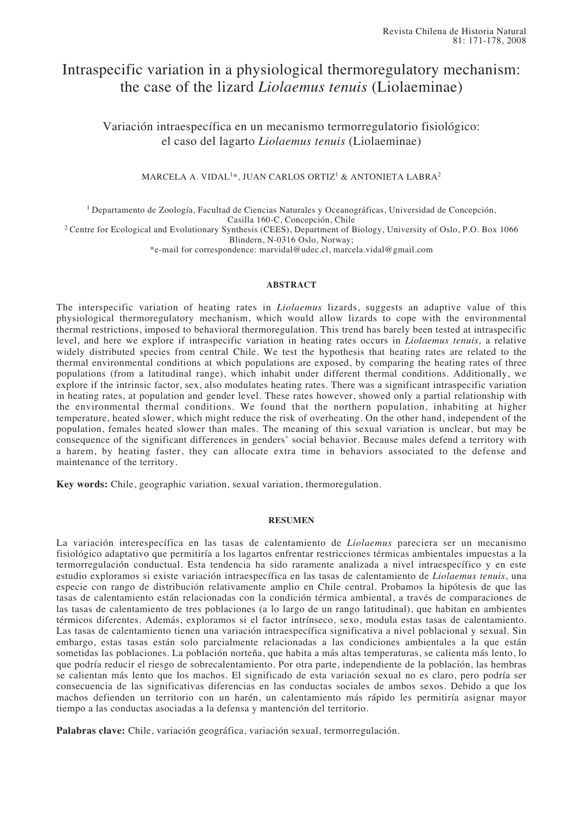# Intraspecific variation in a physiological thermoregulatory mechanism: the case of the lizard *Liolaemus tenuis* (Liolaeminae)

Variación intraespecífica en un mecanismo termorregulatorio fisiológico: el caso del lagarto *Liolaemus tenuis* (Liolaeminae)

MARCELA A. VIDAL1\*, JUAN CARLOS ORTIZ1 & ANTONIETA LABRA2

1 Departamento de Zoología, Facultad de Ciencias Naturales y Oceanográficas, Universidad de Concepción, Casilla 160-C, Concepción, Chile

2 Centre for Ecological and Evolutionary Synthesis (CEES), Department of Biology, University of Oslo, P.O. Box 1066 Blindern, N-0316 Oslo, Norway;

\*e-mail for correspondence: marvidal@udec.cl, marcela.vidal@gmail.com

#### **ABSTRACT**

The interspecific variation of heating rates in *Liolaemus* lizards, suggests an adaptive value of this physiological thermoregulatory mechanism, which would allow lizards to cope with the environmental thermal restrictions, imposed to behavioral thermoregulation. This trend has barely been tested at intraspecific level, and here we explore if intraspecific variation in heating rates occurs in *Liolaemus tenuis,* a relative widely distributed species from central Chile. We test the hypothesis that heating rates are related to the thermal environmental conditions at which populations are exposed, by comparing the heating rates of three populations (from a latitudinal range), which inhabit under different thermal conditions. Additionally, we explore if the intrinsic factor, sex, also modulates heating rates. There was a significant intraspecific variation in heating rates, at population and gender level. These rates however, showed only a partial relationship with the environmental thermal conditions. We found that the northern population, inhabiting at higher temperature, heated slower, which might reduce the risk of overheating. On the other hand, independent of the population, females heated slower than males. The meaning of this sexual variation is unclear, but may be consequence of the significant differences in genders' social behavior. Because males defend a territory with a harem, by heating faster, they can allocate extra time in behaviors associated to the defense and maintenance of the territory.

**Key words:** Chile, geographic variation, sexual variation, thermoregulation.

### **RESUMEN**

La variación interespecífica en las tasas de calentamiento de *Liolaemus* pareciera ser un mecanismo fisiológico adaptativo que permitiría a los lagartos enfrentar restricciones térmicas ambientales impuestas a la termorregulación conductual. Esta tendencia ha sido raramente analizada a nivel intraespecífico y en este estudio exploramos si existe variación intraespecífica en las tasas de calentamiento de *Liolaemus tenuis*, una especie con rango de distribución relativamente amplio en Chile central. Probamos la hipótesis de que las tasas de calentamiento están relacionadas con la condición térmica ambiental, a través de comparaciones de las tasas de calentamiento de tres poblaciones (a lo largo de un rango latitudinal), que habitan en ambientes térmicos diferentes. Además, exploramos si el factor intrínseco, sexo, modula estas tasas de calentamiento. Las tasas de calentamiento tienen una variación intraespecífica significativa a nivel poblacional y sexual. Sin embargo, estas tasas están solo parcialmente relacionadas a las condiciones ambientales a la que están sometidas las poblaciones. La población norteña, que habita a más altas temperaturas, se calienta más lento, lo que podría reducir el riesgo de sobrecalentamiento. Por otra parte, independiente de la población, las hembras se calientan más lento que los machos. El significado de esta variación sexual no es claro, pero podría ser consecuencia de las significativas diferencias en las conductas sociales de ambos sexos. Debido a que los machos defienden un territorio con un harén, un calentamiento más rápido les permitiría asignar mayor tiempo a las conductas asociadas a la defensa y mantención del territorio.

**Palabras clave:** Chile, variación geográfica, variación sexual, termorregulación.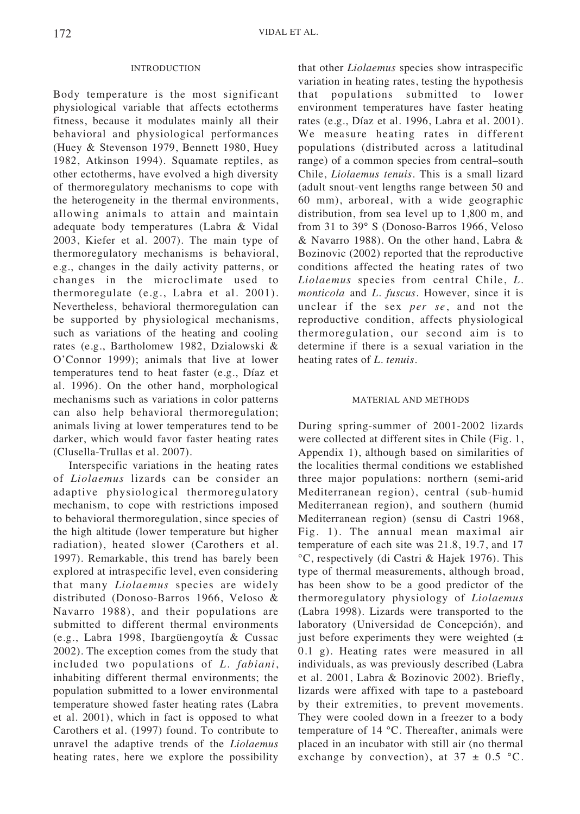## **INTRODUCTION**

Body temperature is the most significant physiological variable that affects ectotherms fitness, because it modulates mainly all their behavioral and physiological performances (Huey & Stevenson 1979, Bennett 1980, Huey 1982, Atkinson 1994). Squamate reptiles, as other ectotherms, have evolved a high diversity of thermoregulatory mechanisms to cope with the heterogeneity in the thermal environments, allowing animals to attain and maintain adequate body temperatures (Labra & Vidal 2003, Kiefer et al. 2007). The main type of thermoregulatory mechanisms is behavioral, e.g., changes in the daily activity patterns, or changes in the microclimate used to thermoregulate (e.g., Labra et al. 2001). Nevertheless, behavioral thermoregulation can be supported by physiological mechanisms, such as variations of the heating and cooling rates (e.g., Bartholomew 1982, Dzialowski & O'Connor 1999); animals that live at lower temperatures tend to heat faster (e.g., Díaz et al. 1996). On the other hand, morphological mechanisms such as variations in color patterns can also help behavioral thermoregulation; animals living at lower temperatures tend to be darker, which would favor faster heating rates (Clusella-Trullas et al. 2007).

Interspecific variations in the heating rates of *Liolaemus* lizards can be consider an adaptive physiological thermoregulatory mechanism, to cope with restrictions imposed to behavioral thermoregulation, since species of the high altitude (lower temperature but higher radiation), heated slower (Carothers et al. 1997). Remarkable, this trend has barely been explored at intraspecific level, even considering that many *Liolaemus* species are widely distributed (Donoso-Barros 1966, Veloso & Navarro 1988), and their populations are submitted to different thermal environments (e.g., Labra 1998, Ibargüengoytía & Cussac 2002). The exception comes from the study that included two populations of *L. fabiani*, inhabiting different thermal environments; the population submitted to a lower environmental temperature showed faster heating rates (Labra et al. 2001), which in fact is opposed to what Carothers et al. (1997) found. To contribute to unravel the adaptive trends of the *Liolaemus* heating rates, here we explore the possibility

that other *Liolaemus* species show intraspecific variation in heating rates, testing the hypothesis that populations submitted to lower environment temperatures have faster heating rates (e.g., Díaz et al. 1996, Labra et al. 2001). We measure heating rates in different populations (distributed across a latitudinal range) of a common species from central–south Chile, *Liolaemus tenuis*. This is a small lizard (adult snout-vent lengths range between 50 and 60 mm), arboreal, with a wide geographic distribution, from sea level up to 1,800 m, and from 31 to 39° S (Donoso-Barros 1966, Veloso & Navarro 1988). On the other hand, Labra & Bozinovic (2002) reported that the reproductive conditions affected the heating rates of two *Liolaemus* species from central Chile, *L. monticola* and *L. fuscus*. However, since it is unclear if the sex *per se*, and not the reproductive condition, affects physiological thermoregulation, our second aim is to determine if there is a sexual variation in the heating rates of *L. tenuis*.

## MATERIAL AND METHODS

During spring-summer of 2001-2002 lizards were collected at different sites in Chile (Fig. 1, Appendix 1), although based on similarities of the localities thermal conditions we established three major populations: northern (semi-arid Mediterranean region), central (sub-humid Mediterranean region), and southern (humid Mediterranean region) (sensu di Castri 1968, Fig. 1). The annual mean maximal air temperature of each site was 21.8, 19.7, and 17 °C, respectively (di Castri & Hajek 1976). This type of thermal measurements, although broad, has been show to be a good predictor of the thermoregulatory physiology of *Liolaemus* (Labra 1998). Lizards were transported to the laboratory (Universidad de Concepción), and just before experiments they were weighted  $(±)$ 0.1 g). Heating rates were measured in all individuals, as was previously described (Labra et al. 2001, Labra & Bozinovic 2002). Briefly, lizards were affixed with tape to a pasteboard by their extremities, to prevent movements. They were cooled down in a freezer to a body temperature of 14 °C. Thereafter, animals were placed in an incubator with still air (no thermal exchange by convection), at  $37 \pm 0.5$  °C.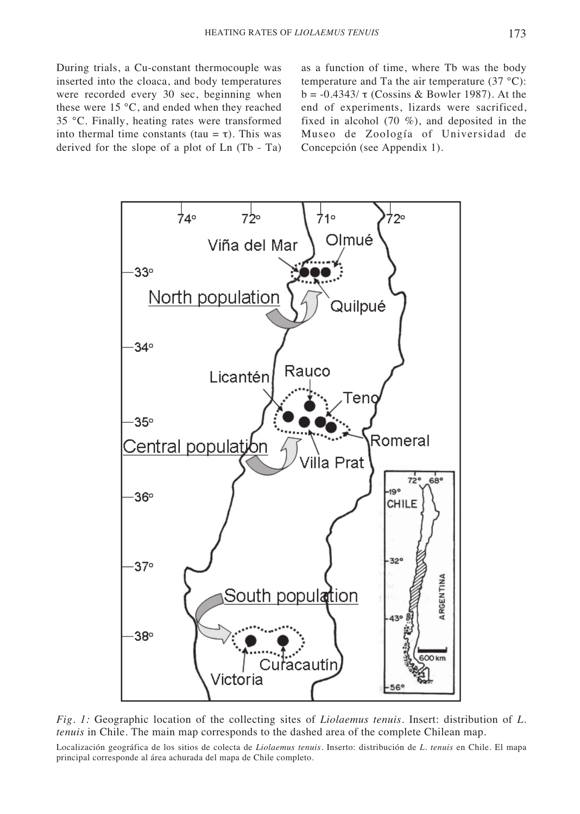as a function of time, where Tb was the body temperature and Ta the air temperature  $(37 \text{ °C})$ : b =  $-0.4343/\tau$  (Cossins & Bowler 1987). At the end of experiments, lizards were sacrificed, fixed in alcohol (70 %), and deposited in the Museo de Zoología of Universidad de Concepción (see Appendix 1).



*Fig. 1:* Geographic location of the collecting sites of *Liolaemus tenuis*. Insert: distribution of *L. tenuis* in Chile. The main map corresponds to the dashed area of the complete Chilean map.

Localización geográfica de los sitios de colecta de *Liolaemus tenuis*. Inserto: distribución de *L. tenuis* en Chile. El mapa principal corresponde al área achurada del mapa de Chile completo.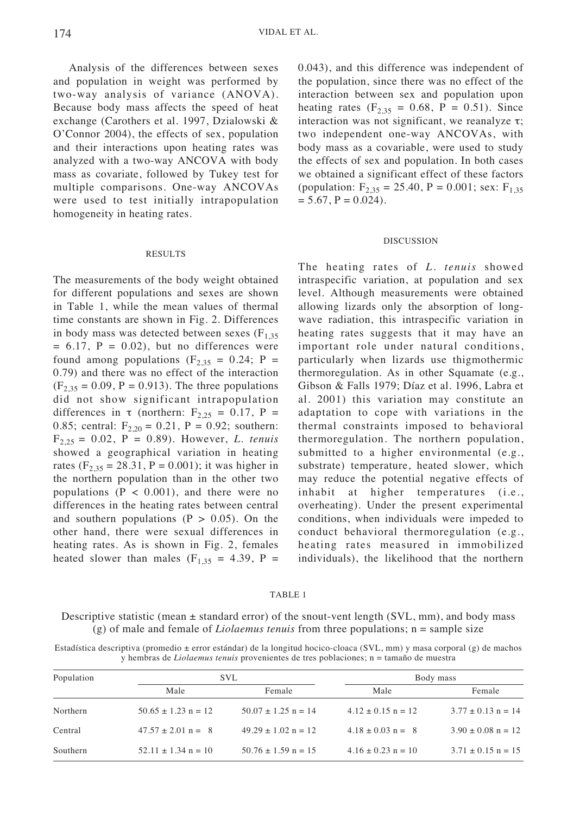Analysis of the differences between sexes and population in weight was performed by two-way analysis of variance (ANOVA). Because body mass affects the speed of heat exchange (Carothers et al. 1997, Dzialowski & O'Connor 2004), the effects of sex, population and their interactions upon heating rates was analyzed with a two-way ANCOVA with body mass as covariate, followed by Tukey test for multiple comparisons. One-way ANCOVAs were used to test initially intrapopulation homogeneity in heating rates.

## **RESULTS**

The measurements of the body weight obtained for different populations and sexes are shown in Table 1, while the mean values of thermal time constants are shown in Fig. 2. Differences in body mass was detected between sexes  $(F<sub>1,35</sub>)$  $= 6.17$ ,  $P = 0.02$ ), but no differences were found among populations  $(F_{2,35} = 0.24; P =$ 0.79) and there was no effect of the interaction  $(F_{2,35} = 0.09, P = 0.913)$ . The three populations did not show significant intrapopulation differences in  $\tau$  (northern: F<sub>2,25</sub> = 0.17, P = 0.85; central:  $F_{2,20} = 0.21$ ,  $P = 0.92$ ; southern: F2,25 = 0.02, P = 0.89). However, *L. tenuis* showed a geographical variation in heating rates ( $F_{2,35} = 28.31$ ,  $P = 0.001$ ); it was higher in the northern population than in the other two populations  $(P < 0.001)$ , and there were no differences in the heating rates between central and southern populations  $(P > 0.05)$ . On the other hand, there were sexual differences in heating rates. As is shown in Fig. 2, females heated slower than males  $(F_{1,35} = 4.39, P =$  0.043), and this difference was independent of the population, since there was no effect of the interaction between sex and population upon heating rates ( $F_{2,35} = 0.68$ ,  $P = 0.51$ ). Since interaction was not significant, we reanalyze τ; two independent one-way ANCOVAs, with body mass as a covariable, were used to study the effects of sex and population. In both cases we obtained a significant effect of these factors (population:  $F_{2,35} = 25.40$ ,  $P = 0.001$ ; sex:  $F_{1,35}$  $= 5.67, P = 0.024$ .

## DISCUSSION

The heating rates of *L. tenuis* showed intraspecific variation, at population and sex level. Although measurements were obtained allowing lizards only the absorption of longwave radiation, this intraspecific variation in heating rates suggests that it may have an important role under natural conditions, particularly when lizards use thigmothermic thermoregulation. As in other Squamate (e.g., Gibson & Falls 1979; Díaz et al. 1996, Labra et al. 2001) this variation may constitute an adaptation to cope with variations in the thermal constraints imposed to behavioral thermoregulation. The northern population, submitted to a higher environmental (e.g., substrate) temperature, heated slower, which may reduce the potential negative effects of inhabit at higher temperatures (i.e., overheating). Under the present experimental conditions, when individuals were impeded to conduct behavioral thermoregulation (e.g., heating rates measured in immobilized individuals), the likelihood that the northern

## TABLE 1

Descriptive statistic (mean ± standard error) of the snout-vent length (SVL, mm), and body mass (g) of male and female of *Liolaemus tenuis* from three populations; n = sample size

Estadística descriptiva (promedio ± error estándar) de la longitud hocico-cloaca (SVL, mm) y masa corporal (g) de machos y hembras de *Liolaemus tenuis* provenientes de tres poblaciones; n = tamaño de muestra

| Population | SVL.                    |                         | Body mass              |                        |
|------------|-------------------------|-------------------------|------------------------|------------------------|
|            | Male                    | Female                  | Male                   | Female                 |
| Northern   | $50.65 \pm 1.23$ n = 12 | $50.07 \pm 1.25$ n = 14 | $4.12 \pm 0.15$ n = 12 | $3.77 \pm 0.13$ n = 14 |
| Central    | $47.57 \pm 2.01$ n = 8  | $49.29 \pm 1.02$ n = 12 | $4.18 \pm 0.03$ n = 8  | $3.90 \pm 0.08$ n = 12 |
| Southern   | $52.11 \pm 1.34$ n = 10 | $50.76 \pm 1.59$ n = 15 | $4.16 \pm 0.23$ n = 10 | $3.71 \pm 0.15$ n = 15 |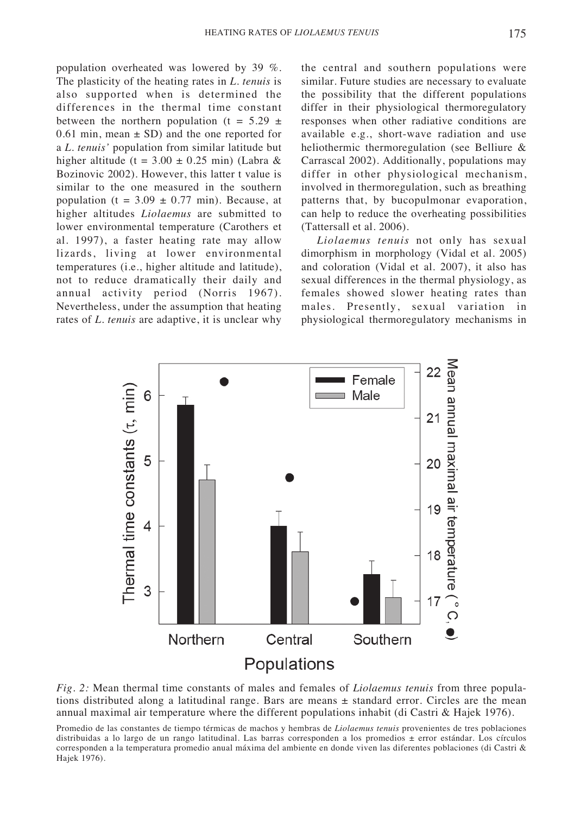population overheated was lowered by 39 %. The plasticity of the heating rates in *L. tenuis* is also supported when is determined the differences in the thermal time constant between the northern population (t =  $5.29 \pm$  $0.61$  min, mean  $\pm$  SD) and the one reported for a *L. tenuis'* population from similar latitude but higher altitude (t =  $3.00 \pm 0.25$  min) (Labra & Bozinovic 2002). However, this latter t value is similar to the one measured in the southern population (t =  $3.09 \pm 0.77$  min). Because, at higher altitudes *Liolaemus* are submitted to lower environmental temperature (Carothers et al. 1997), a faster heating rate may allow lizards, living at lower environmental temperatures (i.e., higher altitude and latitude), not to reduce dramatically their daily and annual activity period (Norris 1967). Nevertheless, under the assumption that heating rates of *L. tenuis* are adaptive, it is unclear why

the central and southern populations were similar. Future studies are necessary to evaluate the possibility that the different populations differ in their physiological thermoregulatory responses when other radiative conditions are available e.g., short-wave radiation and use heliothermic thermoregulation (see Belliure & Carrascal 2002). Additionally, populations may differ in other physiological mechanism, involved in thermoregulation, such as breathing patterns that, by bucopulmonar evaporation, can help to reduce the overheating possibilities (Tattersall et al. 2006).

*Liolaemus tenuis* not only has sexual dimorphism in morphology (Vidal et al. 2005) and coloration (Vidal et al. 2007), it also has sexual differences in the thermal physiology, as females showed slower heating rates than males. Presently, sexual variation physiological thermoregulatory mechanisms in



*Fig. 2:* Mean thermal time constants of males and females of *Liolaemus tenuis* from three populations distributed along a latitudinal range. Bars are means  $\pm$  standard error. Circles are the mean annual maximal air temperature where the different populations inhabit (di Castri & Hajek 1976).

Promedio de las constantes de tiempo térmicas de machos y hembras de *Liolaemus tenuis* provenientes de tres poblaciones distribuidas a lo largo de un rango latitudinal. Las barras corresponden a los promedios ± error estándar. Los círculos corresponden a la temperatura promedio anual máxima del ambiente en donde viven las diferentes poblaciones (di Castri & Hajek 1976).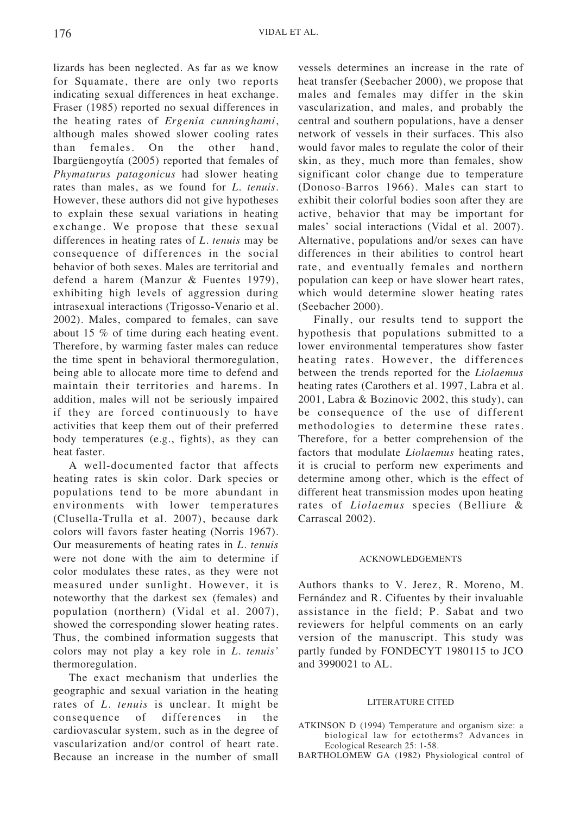lizards has been neglected. As far as we know for Squamate, there are only two reports indicating sexual differences in heat exchange. Fraser (1985) reported no sexual differences in the heating rates of *Ergenia cunninghami*, although males showed slower cooling rates than females. On the other hand, Ibargüengoytía (2005) reported that females of *Phymaturus patagonicus* had slower heating rates than males, as we found for *L. tenuis.* However, these authors did not give hypotheses to explain these sexual variations in heating exchange. We propose that these sexual differences in heating rates of *L. tenuis* may be consequence of differences in the social behavior of both sexes. Males are territorial and defend a harem (Manzur & Fuentes 1979), exhibiting high levels of aggression during intrasexual interactions (Trigosso-Venario et al. 2002). Males, compared to females, can save about 15 % of time during each heating event. Therefore, by warming faster males can reduce the time spent in behavioral thermoregulation, being able to allocate more time to defend and maintain their territories and harems. In addition, males will not be seriously impaired if they are forced continuously to have activities that keep them out of their preferred body temperatures (e.g., fights), as they can heat faster.

A well-documented factor that affects heating rates is skin color. Dark species or populations tend to be more abundant in environments with lower temperatures (Clusella-Trulla et al. 2007), because dark colors will favors faster heating (Norris 1967). Our measurements of heating rates in *L. tenuis* were not done with the aim to determine if color modulates these rates, as they were not measured under sunlight. However, it is noteworthy that the darkest sex (females) and population (northern) (Vidal et al. 2007), showed the corresponding slower heating rates. Thus, the combined information suggests that colors may not play a key role in *L. tenuis'* thermoregulation.

The exact mechanism that underlies the geographic and sexual variation in the heating rates of *L. tenuis* is unclear. It might be consequence of differences in the cardiovascular system, such as in the degree of vascularization and/or control of heart rate. Because an increase in the number of small

vessels determines an increase in the rate of heat transfer (Seebacher 2000), we propose that males and females may differ in the skin vascularization, and males, and probably the central and southern populations, have a denser network of vessels in their surfaces. This also would favor males to regulate the color of their skin, as they, much more than females, show significant color change due to temperature (Donoso-Barros 1966). Males can start to exhibit their colorful bodies soon after they are active, behavior that may be important for males' social interactions (Vidal et al. 2007). Alternative, populations and/or sexes can have differences in their abilities to control heart rate, and eventually females and northern population can keep or have slower heart rates, which would determine slower heating rates (Seebacher 2000).

Finally, our results tend to support the hypothesis that populations submitted to a lower environmental temperatures show faster heating rates. However, the differences between the trends reported for the *Liolaemus* heating rates (Carothers et al. 1997, Labra et al. 2001, Labra & Bozinovic 2002, this study), can be consequence of the use of different methodologies to determine these rates. Therefore, for a better comprehension of the factors that modulate *Liolaemus* heating rates, it is crucial to perform new experiments and determine among other, which is the effect of different heat transmission modes upon heating rates of *Liolaemus* species (Belliure & Carrascal 2002).

### ACKNOWLEDGEMENTS

Authors thanks to V. Jerez, R. Moreno, M. Fernández and R. Cifuentes by their invaluable assistance in the field; P. Sabat and two reviewers for helpful comments on an early version of the manuscript. This study was partly funded by FONDECYT 1980115 to JCO and 3990021 to AL.

#### LITERATURE CITED

- ATKINSON D (1994) Temperature and organism size: a biological law for ectotherms? Advances in Ecological Research 25: 1-58.
- BARTHOLOMEW GA (1982) Physiological control of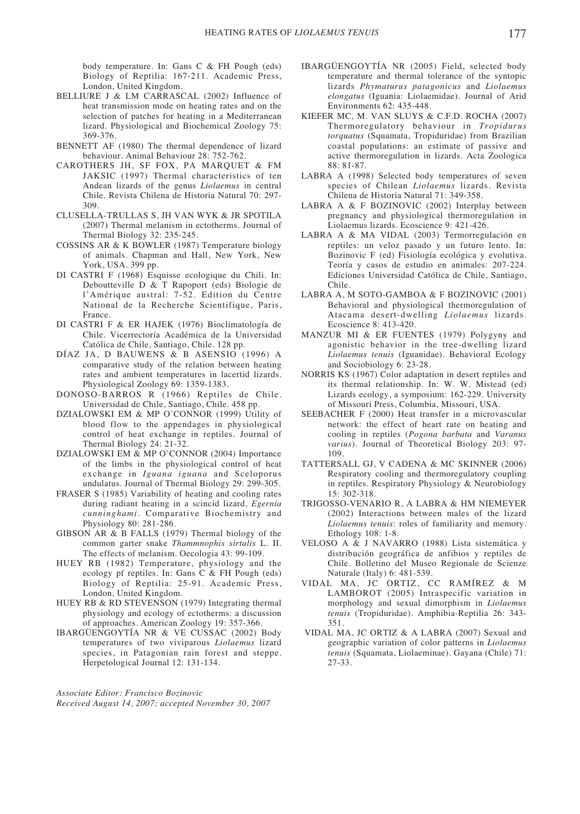body temperature. In: Gans C & FH Pough (eds) Biology of Reptilia: 167-211. Academic Press, London, United Kingdom.

- BELLIURE J & LM CARRASCAL (2002) Influence of heat transmission mode on heating rates and on the selection of patches for heating in a Mediterranean lizard. Physiological and Biochemical Zoology 75: 369-376.
- BENNETT AF (1980) The thermal dependence of lizard behaviour. Animal Behaviour 28: 752-762.
- CAROTHERS JH, SF FOX, PA MARQUET & FM JAKSIC (1997) Thermal characteristics of ten Andean lizards of the genus *Liolaemus* in central Chile. Revista Chilena de Historia Natural 70: 297- 309.
- CLUSELLA-TRULLAS S, JH VAN WYK & JR SPOTILA (2007) Thermal melanism in ectotherms. Journal of Thermal Biology 32: 235-245.
- COSSINS AR & K BOWLER (1987) Temperature biology of animals. Chapman and Hall, New York, New York, USA. 399 pp.
- DI CASTRI F (1968) Esquisse ecologique du Chili. In: Deboutteville D & T Rapoport (eds) Biologie de l'Amérique austral: 7-52. Edition du Centre National de la Recherche Scientifique, Paris, France.
- DI CASTRI F & ER HAJEK (1976) Bioclimatología de Chile. Vicerrectoría Académica de la Universidad Católica de Chile, Santiago, Chile. 128 pp.
- DÍAZ JA, D BAUWENS & B ASENSIO (1996) A comparative study of the relation between heating rates and ambient temperatures in lacertid lizards. Physiological Zoology 69: 1359-1383.
- DONOSO-BARROS R (1966) Reptiles de Chile. Universidad de Chile, Santiago, Chile. 458 pp.
- DZIALOWSKI EM & MP O'CONNOR (1999) Utility of blood flow to the appendages in physiological control of heat exchange in reptiles. Journal of Thermal Biology 24: 21-32.
- DZIALOWSKI EM & MP O'CONNOR (2004) Importance of the limbs in the physiological control of heat exchange in *Iguana iguana* and Sceloporus undulatus. Journal of Thermal Biology 29: 299-305.
- FRASER S (1985) Variability of heating and cooling rates during radiant heating in a scincid lizard, *Egernia cunninghami.* Comparative Biochemistry and Physiology 80: 281-286.
- GIBSON AR & B FALLS (1979) Thermal biology of the common garter snake *Thammnophis sirtalis* L. II. The effects of melanism. Oecologia 43: 99-109.
- HUEY RB (1982) Temperature, physiology and the ecology pf reptiles. In: Gans C & FH Pough (eds) Biology of Reptilia: 25-91. Academic Press, London, United Kingdom.
- HUEY RB & RD STEVENSON (1979) Integrating thermal physiology and ecology of ectotherms: a discussion of approaches. American Zoology 19: 357-366.
- IBARGÜENGOYTÍA NR & VE CUSSAC (2002) Body temperatures of two viviparous *Liolaemus* lizard species, in Patagonian rain forest and steppe. Herpetological Journal 12: 131-134.

*Associate Editor: Francisco Bozinovic Received August 14, 2007; accepted November 30, 2007*

- IBARGÜENGOYTÍA NR (2005) Field, selected body temperature and thermal tolerance of the syntopic lizards *Phymaturus patagonicus* and *Liolaemus elongatus* (Iguania: Liolaemidae). Journal of Arid Environments 62: 435-448.
- KIEFER MC*,* M. VAN SLUYS & C.F.D. ROCHA (2007) Thermoregulatory behaviour in *Tropidurus torquatus* (Squamata, Tropiduridae) from Brazilian coastal populations: an estimate of passive and active thermoregulation in lizards. Acta Zoologica 88: 81-87.
- LABRA A (1998) Selected body temperatures of seven species of Chilean *Liolaemus* lizards. Revista Chilena de Historia Natural 71: 349-358.
- LABRA A & F BOZINOVIC (2002) Interplay between pregnancy and physiological thermoregulation in Liolaemus lizards. Ecoscience 9: 421-426.
- LABRA A & MA VIDAL (2003) Termorregulación en reptiles: un veloz pasado y un futuro lento. In: Bozinovic F (ed) Fisiología ecológica y evolutiva. Teoría y casos de estudio en animales: 207-224. Ediciones Universidad Católica de Chile, Santiago, Chile.
- LABRA A, M SOTO-GAMBOA & F BOZINOVIC (2001) Behavioral and physiological thermoregulation of Atacama desert-dwelling *Liolaemus* lizards. Ecoscience 8: 413-420.
- MANZUR MI & ER FUENTES (1979) Polygyny and agonistic behavior in the tree-dwelling lizard *Liolaemus tenuis* (Iguanidae). Behavioral Ecology and Sociobiology 6: 23-28.
- NORRIS KS (1967) Color adaptation in desert reptiles and its thermal relationship. In: W. W. Mistead (ed) Lizards ecology, a symposium: 162-229. University of Missouri Press, Columbia, Missouri, USA.
- SEEBACHER F (2000) Heat transfer in a microvascular network: the effect of heart rate on heating and cooling in reptiles (*Pogona barbata* and *Varanus varius*). Journal of Theoretical Biology 203: 97- 109.
- TATTERSALL GJ, V CADENA & MC SKINNER (2006) Respiratory cooling and thermoregulatory coupling in reptiles. Respiratory Physiology & Neurobiology 15: 302-318.
- TRIGOSSO-VENARIO R, A LABRA & HM NIEMEYER (2002) Interactions between males of the lizard *Liolaemus tenuis*: roles of familiarity and memory. Ethology 108: 1-8.
- VELOSO A & J NAVARRO (1988) Lista sistemática y distribución geográfica de anfibios y reptiles de Chile. Bolletino del Museo Regionale de Scienze Naturale (Italy) 6: 481-539.
- VIDAL MA, JC ORTIZ, CC RAMÍREZ & M LAMBOROT (2005) Intraspecific variation in morphology and sexual dimorphism in *Liolaemus tenuis* (Tropiduridae). Amphibia-Reptilia 26: 343- 351.
- VIDAL MA, JC ORTIZ & A LABRA (2007) Sexual and geographic variation of color patterns in *Liolaemus tenuis* (Squamata, Liolaeminae). Gayana (Chile) 71: 27-33.